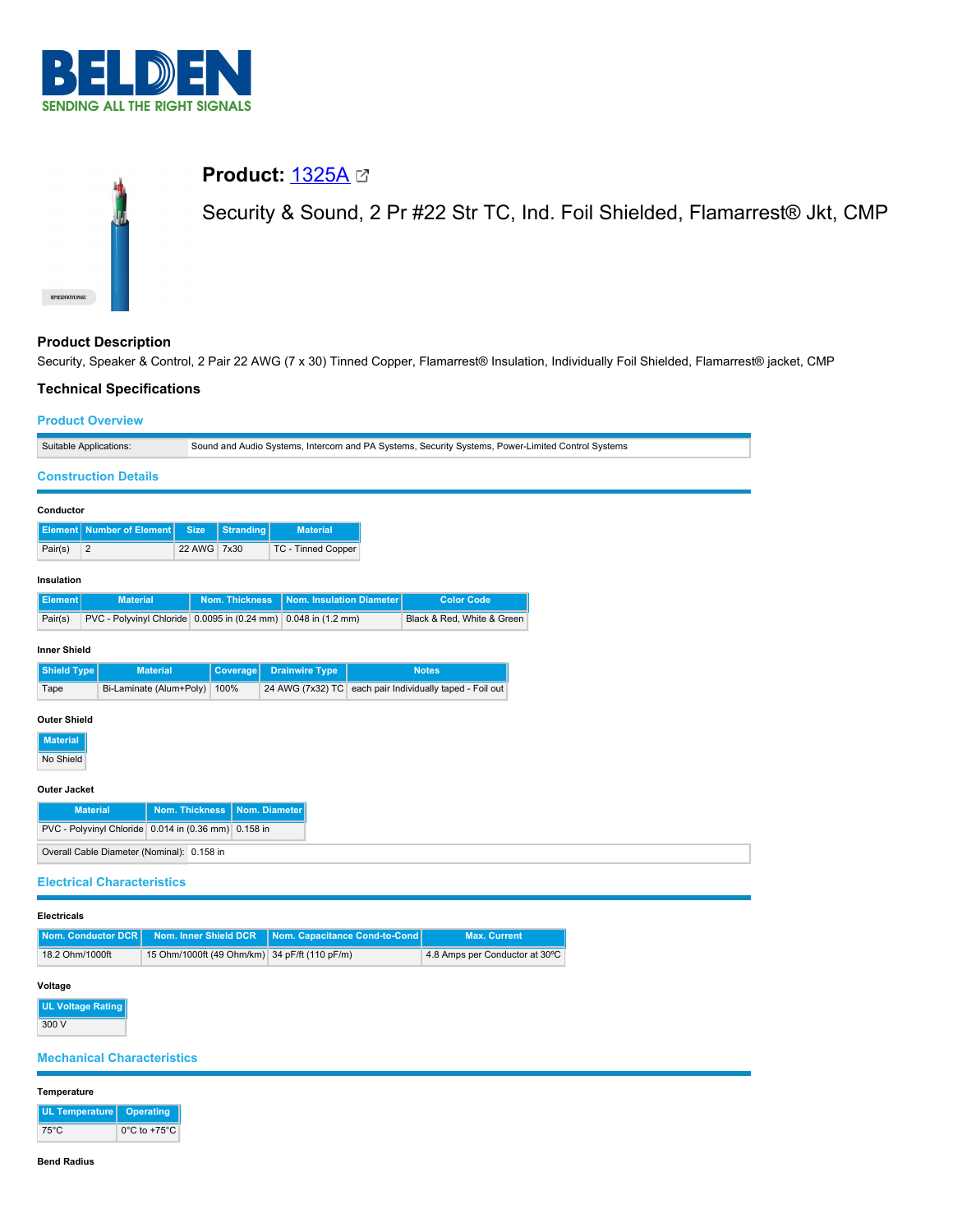

# **Product:** [1325A](https://catalog.belden.com/index.cfm?event=pd&p=PF_1325A&tab=downloads) Security & Sound, 2 Pr #22 Str TC, Ind. Foil Shielded, Flamarrest® Jkt, CMP

# **Product Description**

Security, Speaker & Control, 2 Pair 22 AWG (7 x 30) Tinned Copper, Flamarrest® Insulation, Individually Foil Shielded, Flamarrest® jacket, CMP

# **Technical Specifications**

75°C 0°C to +75°C

**Bend Radius**

## **Product Overview**

| Suitable Applications:                       |                                                                                           |                       |                  |                                                                                | Sound and Audio Systems, Intercom and PA Systems, Security Systems, Power-Limited Control Systems |  |  |
|----------------------------------------------|-------------------------------------------------------------------------------------------|-----------------------|------------------|--------------------------------------------------------------------------------|---------------------------------------------------------------------------------------------------|--|--|
|                                              | <b>Construction Details</b>                                                               |                       |                  |                                                                                |                                                                                                   |  |  |
| Conductor                                    |                                                                                           |                       |                  |                                                                                |                                                                                                   |  |  |
|                                              | <b>Element</b> Number of Element                                                          | <b>Size</b>           | <b>Stranding</b> | <b>Material</b>                                                                |                                                                                                   |  |  |
| $\sqrt{2}$<br>Pair(s)                        |                                                                                           | 22 AWG 7x30           |                  | TC - Tinned Copper                                                             |                                                                                                   |  |  |
| Insulation                                   |                                                                                           |                       |                  |                                                                                |                                                                                                   |  |  |
| <b>Element</b>                               | <b>Material</b>                                                                           |                       | Nom. Thickness   | <b>Nom. Insulation Diameter</b>                                                | <b>Color Code</b>                                                                                 |  |  |
| Pair(s)                                      |                                                                                           |                       |                  | PVC - Polyvinyl Chloride 0.0095 in (0.24 mm) 0.048 in (1.2 mm)                 | Black & Red, White & Green                                                                        |  |  |
| <b>Inner Shield</b>                          |                                                                                           |                       |                  |                                                                                |                                                                                                   |  |  |
| <b>Shield Type</b>                           | <b>Material</b>                                                                           |                       | Coverage         | <b>Drainwire Type</b>                                                          | <b>Notes</b>                                                                                      |  |  |
| Tape                                         | Bi-Laminate (Alum+Poly)                                                                   |                       | 100%             |                                                                                | 24 AWG (7x32) TC each pair Individually taped - Foil out                                          |  |  |
| <b>Material</b>                              | PVC - Polyvinyl Chloride 0.014 in (0.36 mm)<br>Overall Cable Diameter (Nominal): 0.158 in | <b>Nom. Thickness</b> | 0.158 in         | Nom. Diameter                                                                  |                                                                                                   |  |  |
|                                              | <b>Electrical Characteristics</b>                                                         |                       |                  |                                                                                |                                                                                                   |  |  |
| <b>Electricals</b>                           |                                                                                           |                       |                  |                                                                                |                                                                                                   |  |  |
| <b>Nom. Conductor DCR</b><br>18.2 Ohm/1000ft |                                                                                           | Nom. Inner Shield DCR |                  | Nom. Capacitance Cond-to-Cond<br>15 Ohm/1000ft (49 Ohm/km) 34 pF/ft (110 pF/m) | <b>Max. Current</b><br>4.8 Amps per Conductor at 30°C                                             |  |  |
|                                              |                                                                                           |                       |                  |                                                                                |                                                                                                   |  |  |
| Voltage<br><b>UL Voltage Rating</b><br>300 V | <b>Mechanical Characteristics</b>                                                         |                       |                  |                                                                                |                                                                                                   |  |  |
| Temperature                                  |                                                                                           |                       |                  |                                                                                |                                                                                                   |  |  |
| UL Temperature                               | <b>Operating</b>                                                                          |                       |                  |                                                                                |                                                                                                   |  |  |